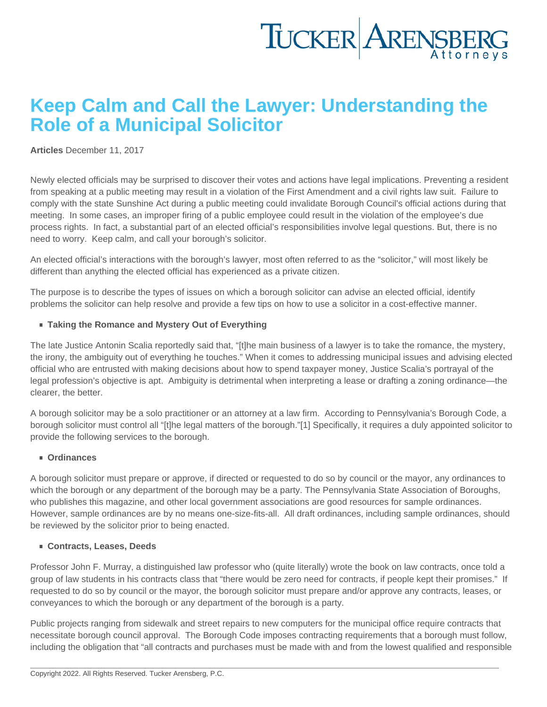## Keep Calm and Call the Lawyer: Understanding the Role of a Municipal Solicitor

[Articles](https://www.tuckerlaw.com/category/articles/) December 11, 2017

Newly elected officials may be surprised to discover their votes and actions have legal implications. Preventing a resident from speaking at a public meeting may result in a violation of the First Amendment and a civil rights law suit. Failure to comply with the state Sunshine Act during a public meeting could invalidate Borough Council's official actions during that meeting. In some cases, an improper firing of a public employee could result in the violation of the employee's due process rights. In fact, a substantial part of an elected official's responsibilities involve legal questions. But, there is no need to worry. Keep calm, and call your borough's solicitor.

An elected official's interactions with the borough's lawyer, most often referred to as the "solicitor," will most likely be different than anything the elected official has experienced as a private citizen.

The purpose is to describe the types of issues on which a borough solicitor can advise an elected official, identify problems the solicitor can help resolve and provide a few tips on how to use a solicitor in a cost-effective manner.

■ Taking the Romance and Mystery Out of Everything

The late Justice Antonin Scalia reportedly said that, "[t]he main business of a lawyer is to take the romance, the mystery, the irony, the ambiguity out of everything he touches." When it comes to addressing municipal issues and advising elected official who are entrusted with making decisions about how to spend taxpayer money, Justice Scalia's portrayal of the legal profession's objective is apt. Ambiguity is detrimental when interpreting a lease or drafting a zoning ordinance—the clearer, the better.

A borough solicitor may be a solo practitioner or an attorney at a law firm. According to Pennsylvania's Borough Code, a borough solicitor must control all "[t]he legal matters of the borough."[1] Specifically, it requires a duly appointed solicitor to provide the following services to the borough.

Ordinances

A borough solicitor must prepare or approve, if directed or requested to do so by council or the mayor, any ordinances to which the borough or any department of the borough may be a party. The Pennsylvania State Association of Boroughs, who publishes this magazine, and other local government associations are good resources for sample ordinances. However, sample ordinances are by no means one-size-fits-all. All draft ordinances, including sample ordinances, should be reviewed by the solicitor prior to being enacted.

Contracts, Leases, Deeds

Professor John F. Murray, a distinguished law professor who (quite literally) wrote the book on law contracts, once told a group of law students in his contracts class that "there would be zero need for contracts, if people kept their promises." If requested to do so by council or the mayor, the borough solicitor must prepare and/or approve any contracts, leases, or conveyances to which the borough or any department of the borough is a party.

Public projects ranging from sidewalk and street repairs to new computers for the municipal office require contracts that necessitate borough council approval. The Borough Code imposes contracting requirements that a borough must follow, including the obligation that "all contracts and purchases must be made with and from the lowest qualified and responsible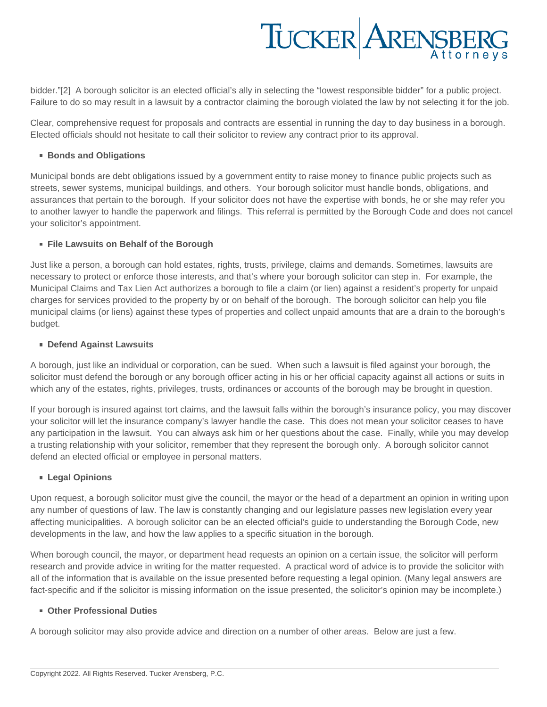# TUCKER ARENSBERG

bidder."[2] A borough solicitor is an elected official's ally in selecting the "lowest responsible bidder" for a public project. Failure to do so may result in a lawsuit by a contractor claiming the borough violated the law by not selecting it for the job.

Clear, comprehensive request for proposals and contracts are essential in running the day to day business in a borough. Elected officials should not hesitate to call their solicitor to review any contract prior to its approval.

#### ■ Bonds and Obligations

Municipal bonds are debt obligations issued by a government entity to raise money to finance public projects such as streets, sewer systems, municipal buildings, and others. Your borough solicitor must handle bonds, obligations, and assurances that pertain to the borough. If your solicitor does not have the expertise with bonds, he or she may refer you to another lawyer to handle the paperwork and filings. This referral is permitted by the Borough Code and does not cancel your solicitor's appointment.

### **File Lawsuits on Behalf of the Borough**

Just like a person, a borough can hold estates, rights, trusts, privilege, claims and demands. Sometimes, lawsuits are necessary to protect or enforce those interests, and that's where your borough solicitor can step in. For example, the Municipal Claims and Tax Lien Act authorizes a borough to file a claim (or lien) against a resident's property for unpaid charges for services provided to the property by or on behalf of the borough. The borough solicitor can help you file municipal claims (or liens) against these types of properties and collect unpaid amounts that are a drain to the borough's budget.

### **Defend Against Lawsuits**

A borough, just like an individual or corporation, can be sued. When such a lawsuit is filed against your borough, the solicitor must defend the borough or any borough officer acting in his or her official capacity against all actions or suits in which any of the estates, rights, privileges, trusts, ordinances or accounts of the borough may be brought in question.

If your borough is insured against tort claims, and the lawsuit falls within the borough's insurance policy, you may discover your solicitor will let the insurance company's lawyer handle the case. This does not mean your solicitor ceases to have any participation in the lawsuit. You can always ask him or her questions about the case. Finally, while you may develop a trusting relationship with your solicitor, remember that they represent the borough only. A borough solicitor cannot defend an elected official or employee in personal matters.

### **Legal Opinions**

Upon request, a borough solicitor must give the council, the mayor or the head of a department an opinion in writing upon any number of questions of law. The law is constantly changing and our legislature passes new legislation every year affecting municipalities. A borough solicitor can be an elected official's guide to understanding the Borough Code, new developments in the law, and how the law applies to a specific situation in the borough.

When borough council, the mayor, or department head requests an opinion on a certain issue, the solicitor will perform research and provide advice in writing for the matter requested. A practical word of advice is to provide the solicitor with all of the information that is available on the issue presented before requesting a legal opinion. (Many legal answers are fact-specific and if the solicitor is missing information on the issue presented, the solicitor's opinion may be incomplete.)

### **Other Professional Duties**

A borough solicitor may also provide advice and direction on a number of other areas. Below are just a few.